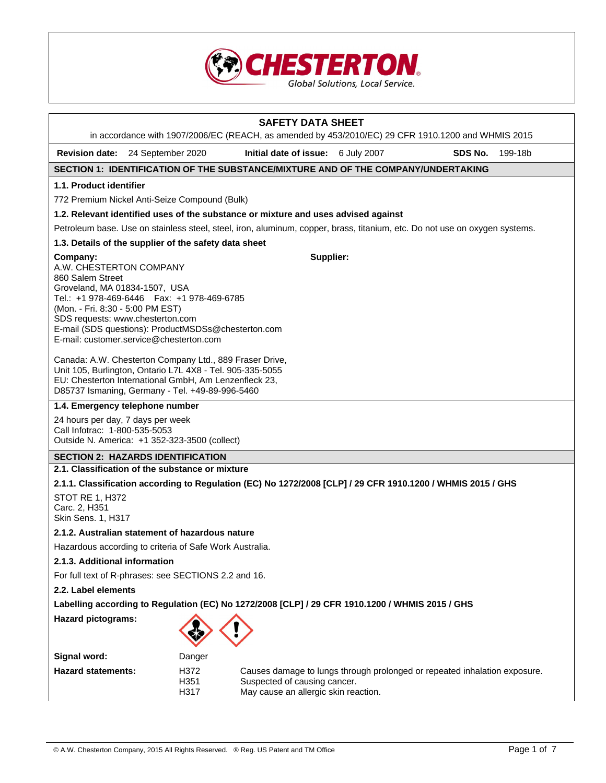

|                                                                                                                                                                                                                                                                                                                     |                               |                      | <b>SAFETY DATA SHEET</b><br>in accordance with 1907/2006/EC (REACH, as amended by 453/2010/EC) 29 CFR 1910.1200 and WHMIS 2015                    |  |         |         |
|---------------------------------------------------------------------------------------------------------------------------------------------------------------------------------------------------------------------------------------------------------------------------------------------------------------------|-------------------------------|----------------------|---------------------------------------------------------------------------------------------------------------------------------------------------|--|---------|---------|
| Revision date: 24 September 2020                                                                                                                                                                                                                                                                                    |                               |                      | Initial date of issue: 6 July 2007                                                                                                                |  | SDS No. | 199-18b |
|                                                                                                                                                                                                                                                                                                                     |                               |                      | SECTION 1: IDENTIFICATION OF THE SUBSTANCE/MIXTURE AND OF THE COMPANY/UNDERTAKING                                                                 |  |         |         |
| 1.1. Product identifier                                                                                                                                                                                                                                                                                             |                               |                      |                                                                                                                                                   |  |         |         |
| 772 Premium Nickel Anti-Seize Compound (Bulk)                                                                                                                                                                                                                                                                       |                               |                      |                                                                                                                                                   |  |         |         |
|                                                                                                                                                                                                                                                                                                                     |                               |                      | 1.2. Relevant identified uses of the substance or mixture and uses advised against                                                                |  |         |         |
|                                                                                                                                                                                                                                                                                                                     |                               |                      | Petroleum base. Use on stainless steel, steel, iron, aluminum, copper, brass, titanium, etc. Do not use on oxygen systems.                        |  |         |         |
| 1.3. Details of the supplier of the safety data sheet                                                                                                                                                                                                                                                               |                               |                      |                                                                                                                                                   |  |         |         |
| Company:<br>A.W. CHESTERTON COMPANY<br>860 Salem Street<br>Groveland, MA 01834-1507, USA<br>Tel.: +1 978-469-6446    Fax: +1 978-469-6785<br>(Mon. - Fri. 8:30 - 5:00 PM EST)<br>SDS requests: www.chesterton.com<br>E-mail (SDS questions): ProductMSDSs@chesterton.com<br>E-mail: customer.service@chesterton.com |                               |                      | Supplier:                                                                                                                                         |  |         |         |
| Canada: A.W. Chesterton Company Ltd., 889 Fraser Drive,<br>Unit 105, Burlington, Ontario L7L 4X8 - Tel. 905-335-5055<br>EU: Chesterton International GmbH, Am Lenzenfleck 23,<br>D85737 Ismaning, Germany - Tel. +49-89-996-5460                                                                                    |                               |                      |                                                                                                                                                   |  |         |         |
| 1.4. Emergency telephone number                                                                                                                                                                                                                                                                                     |                               |                      |                                                                                                                                                   |  |         |         |
| 24 hours per day, 7 days per week<br>Call Infotrac: 1-800-535-5053<br>Outside N. America: +1 352-323-3500 (collect)                                                                                                                                                                                                 |                               |                      |                                                                                                                                                   |  |         |         |
| <b>SECTION 2: HAZARDS IDENTIFICATION</b>                                                                                                                                                                                                                                                                            |                               |                      |                                                                                                                                                   |  |         |         |
| 2.1. Classification of the substance or mixture                                                                                                                                                                                                                                                                     |                               |                      |                                                                                                                                                   |  |         |         |
|                                                                                                                                                                                                                                                                                                                     |                               |                      | 2.1.1. Classification according to Regulation (EC) No 1272/2008 [CLP] / 29 CFR 1910.1200 / WHMIS 2015 / GHS                                       |  |         |         |
| STOT RE 1, H372<br>Carc. 2, H351<br>Skin Sens. 1, H317                                                                                                                                                                                                                                                              |                               |                      |                                                                                                                                                   |  |         |         |
| 2.1.2. Australian statement of hazardous nature                                                                                                                                                                                                                                                                     |                               |                      |                                                                                                                                                   |  |         |         |
| Hazardous according to criteria of Safe Work Australia.                                                                                                                                                                                                                                                             |                               |                      |                                                                                                                                                   |  |         |         |
|                                                                                                                                                                                                                                                                                                                     | 2.1.3. Additional information |                      |                                                                                                                                                   |  |         |         |
| For full text of R-phrases: see SECTIONS 2.2 and 16.                                                                                                                                                                                                                                                                |                               |                      |                                                                                                                                                   |  |         |         |
| 2.2. Label elements                                                                                                                                                                                                                                                                                                 |                               |                      |                                                                                                                                                   |  |         |         |
| Labelling according to Regulation (EC) No 1272/2008 [CLP] / 29 CFR 1910.1200 / WHMIS 2015 / GHS                                                                                                                                                                                                                     |                               |                      |                                                                                                                                                   |  |         |         |
| <b>Hazard pictograms:</b>                                                                                                                                                                                                                                                                                           |                               |                      |                                                                                                                                                   |  |         |         |
| Signal word:                                                                                                                                                                                                                                                                                                        |                               | Danger               |                                                                                                                                                   |  |         |         |
| <b>Hazard statements:</b>                                                                                                                                                                                                                                                                                           |                               | H372<br>H351<br>H317 | Causes damage to lungs through prolonged or repeated inhalation exposure.<br>Suspected of causing cancer.<br>May cause an allergic skin reaction. |  |         |         |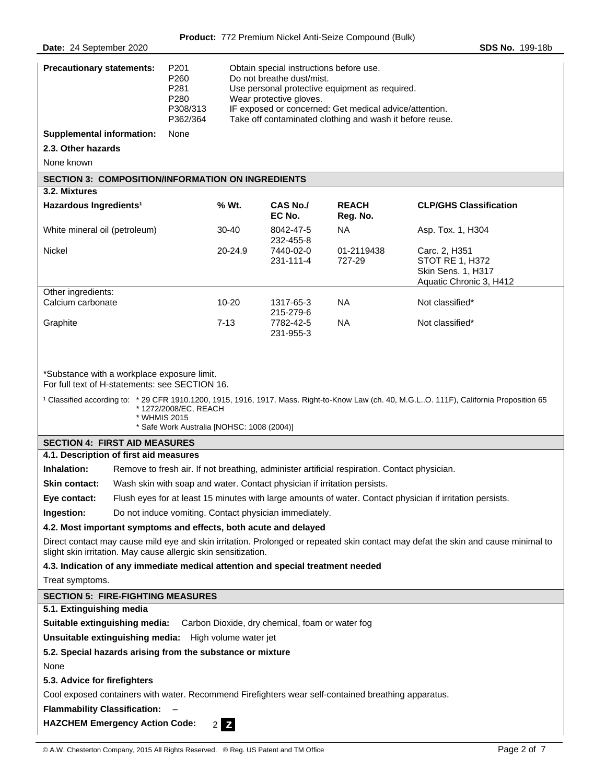| <b>Precautionary statements:</b>                                                                                                                                                                                                                                                                                                                                                                                                                                                                                                                                                                                                                                                                                                                                                                                                                                                                                                                                                                                                                                                                                                                                                                                                         | P201<br>P260<br>P281<br>P280<br>P308/313<br>P362/364 | Obtain special instructions before use.<br>Do not breathe dust/mist.<br>Use personal protective equipment as required.<br>Wear protective gloves.<br>IF exposed or concerned: Get medical advice/attention.<br>Take off contaminated clothing and wash it before reuse. |                                     |                          |                                                                                          |
|------------------------------------------------------------------------------------------------------------------------------------------------------------------------------------------------------------------------------------------------------------------------------------------------------------------------------------------------------------------------------------------------------------------------------------------------------------------------------------------------------------------------------------------------------------------------------------------------------------------------------------------------------------------------------------------------------------------------------------------------------------------------------------------------------------------------------------------------------------------------------------------------------------------------------------------------------------------------------------------------------------------------------------------------------------------------------------------------------------------------------------------------------------------------------------------------------------------------------------------|------------------------------------------------------|-------------------------------------------------------------------------------------------------------------------------------------------------------------------------------------------------------------------------------------------------------------------------|-------------------------------------|--------------------------|------------------------------------------------------------------------------------------|
| <b>Supplemental information:</b>                                                                                                                                                                                                                                                                                                                                                                                                                                                                                                                                                                                                                                                                                                                                                                                                                                                                                                                                                                                                                                                                                                                                                                                                         | None                                                 |                                                                                                                                                                                                                                                                         |                                     |                          |                                                                                          |
| 2.3. Other hazards                                                                                                                                                                                                                                                                                                                                                                                                                                                                                                                                                                                                                                                                                                                                                                                                                                                                                                                                                                                                                                                                                                                                                                                                                       |                                                      |                                                                                                                                                                                                                                                                         |                                     |                          |                                                                                          |
| None known                                                                                                                                                                                                                                                                                                                                                                                                                                                                                                                                                                                                                                                                                                                                                                                                                                                                                                                                                                                                                                                                                                                                                                                                                               |                                                      |                                                                                                                                                                                                                                                                         |                                     |                          |                                                                                          |
| <b>SECTION 3: COMPOSITION/INFORMATION ON INGREDIENTS</b>                                                                                                                                                                                                                                                                                                                                                                                                                                                                                                                                                                                                                                                                                                                                                                                                                                                                                                                                                                                                                                                                                                                                                                                 |                                                      |                                                                                                                                                                                                                                                                         |                                     |                          |                                                                                          |
| 3.2. Mixtures                                                                                                                                                                                                                                                                                                                                                                                                                                                                                                                                                                                                                                                                                                                                                                                                                                                                                                                                                                                                                                                                                                                                                                                                                            |                                                      |                                                                                                                                                                                                                                                                         |                                     |                          |                                                                                          |
| Hazardous Ingredients <sup>1</sup>                                                                                                                                                                                                                                                                                                                                                                                                                                                                                                                                                                                                                                                                                                                                                                                                                                                                                                                                                                                                                                                                                                                                                                                                       |                                                      | % Wt.                                                                                                                                                                                                                                                                   | <b>CAS No./</b><br>EC No.           | <b>REACH</b><br>Reg. No. | <b>CLP/GHS Classification</b>                                                            |
| White mineral oil (petroleum)                                                                                                                                                                                                                                                                                                                                                                                                                                                                                                                                                                                                                                                                                                                                                                                                                                                                                                                                                                                                                                                                                                                                                                                                            |                                                      | 30-40                                                                                                                                                                                                                                                                   | 8042-47-5<br>232-455-8              | <b>NA</b>                | Asp. Tox. 1, H304                                                                        |
| <b>Nickel</b>                                                                                                                                                                                                                                                                                                                                                                                                                                                                                                                                                                                                                                                                                                                                                                                                                                                                                                                                                                                                                                                                                                                                                                                                                            |                                                      | 20-24.9                                                                                                                                                                                                                                                                 | 7440-02-0<br>231-111-4              | 01-2119438<br>727-29     | Carc. 2, H351<br><b>STOT RE 1, H372</b><br>Skin Sens. 1, H317<br>Aquatic Chronic 3, H412 |
| Other ingredients:<br>Calcium carbonate                                                                                                                                                                                                                                                                                                                                                                                                                                                                                                                                                                                                                                                                                                                                                                                                                                                                                                                                                                                                                                                                                                                                                                                                  |                                                      | 10-20                                                                                                                                                                                                                                                                   | 1317-65-3                           | <b>NA</b>                | Not classified*                                                                          |
| Graphite                                                                                                                                                                                                                                                                                                                                                                                                                                                                                                                                                                                                                                                                                                                                                                                                                                                                                                                                                                                                                                                                                                                                                                                                                                 |                                                      | $7-13$                                                                                                                                                                                                                                                                  | 215-279-6<br>7782-42-5<br>231-955-3 | <b>NA</b>                | Not classified*                                                                          |
| *Substance with a workplace exposure limit.<br>For full text of H-statements: see SECTION 16.<br><sup>1</sup> Classified according to: * 29 CFR 1910.1200, 1915, 1916, 1917, Mass. Right-to-Know Law (ch. 40, M.G.LO. 111F), California Proposition 65<br>* 1272/2008/EC, REACH<br>* WHMIS 2015<br>* Safe Work Australia [NOHSC: 1008 (2004)]<br><b>SECTION 4: FIRST AID MEASURES</b><br>4.1. Description of first aid measures<br>Inhalation:<br>Remove to fresh air. If not breathing, administer artificial respiration. Contact physician.<br>Wash skin with soap and water. Contact physician if irritation persists.<br><b>Skin contact:</b><br>Flush eyes for at least 15 minutes with large amounts of water. Contact physician if irritation persists.<br>Eye contact:<br>Do not induce vomiting. Contact physician immediately.<br>Ingestion:<br>4.2. Most important symptoms and effects, both acute and delayed<br>Direct contact may cause mild eye and skin irritation. Prolonged or repeated skin contact may defat the skin and cause minimal to<br>slight skin irritation. May cause allergic skin sensitization.<br>4.3. Indication of any immediate medical attention and special treatment needed<br>Treat symptoms. |                                                      |                                                                                                                                                                                                                                                                         |                                     |                          |                                                                                          |
| <b>SECTION 5: FIRE-FIGHTING MEASURES</b><br>5.1. Extinguishing media                                                                                                                                                                                                                                                                                                                                                                                                                                                                                                                                                                                                                                                                                                                                                                                                                                                                                                                                                                                                                                                                                                                                                                     |                                                      |                                                                                                                                                                                                                                                                         |                                     |                          |                                                                                          |
| Suitable extinguishing media:                                                                                                                                                                                                                                                                                                                                                                                                                                                                                                                                                                                                                                                                                                                                                                                                                                                                                                                                                                                                                                                                                                                                                                                                            |                                                      |                                                                                                                                                                                                                                                                         |                                     |                          |                                                                                          |
| Carbon Dioxide, dry chemical, foam or water fog<br>Unsuitable extinguishing media: High volume water jet                                                                                                                                                                                                                                                                                                                                                                                                                                                                                                                                                                                                                                                                                                                                                                                                                                                                                                                                                                                                                                                                                                                                 |                                                      |                                                                                                                                                                                                                                                                         |                                     |                          |                                                                                          |
| 5.2. Special hazards arising from the substance or mixture                                                                                                                                                                                                                                                                                                                                                                                                                                                                                                                                                                                                                                                                                                                                                                                                                                                                                                                                                                                                                                                                                                                                                                               |                                                      |                                                                                                                                                                                                                                                                         |                                     |                          |                                                                                          |
| None                                                                                                                                                                                                                                                                                                                                                                                                                                                                                                                                                                                                                                                                                                                                                                                                                                                                                                                                                                                                                                                                                                                                                                                                                                     |                                                      |                                                                                                                                                                                                                                                                         |                                     |                          |                                                                                          |
| 5.3. Advice for firefighters                                                                                                                                                                                                                                                                                                                                                                                                                                                                                                                                                                                                                                                                                                                                                                                                                                                                                                                                                                                                                                                                                                                                                                                                             |                                                      |                                                                                                                                                                                                                                                                         |                                     |                          |                                                                                          |
| Cool exposed containers with water. Recommend Firefighters wear self-contained breathing apparatus.                                                                                                                                                                                                                                                                                                                                                                                                                                                                                                                                                                                                                                                                                                                                                                                                                                                                                                                                                                                                                                                                                                                                      |                                                      |                                                                                                                                                                                                                                                                         |                                     |                          |                                                                                          |
| <b>Flammability Classification:</b>                                                                                                                                                                                                                                                                                                                                                                                                                                                                                                                                                                                                                                                                                                                                                                                                                                                                                                                                                                                                                                                                                                                                                                                                      |                                                      |                                                                                                                                                                                                                                                                         |                                     |                          |                                                                                          |
| <b>HAZCHEM Emergency Action Code:</b>                                                                                                                                                                                                                                                                                                                                                                                                                                                                                                                                                                                                                                                                                                                                                                                                                                                                                                                                                                                                                                                                                                                                                                                                    |                                                      |                                                                                                                                                                                                                                                                         |                                     |                          |                                                                                          |
| $2$ $\overline{2}$                                                                                                                                                                                                                                                                                                                                                                                                                                                                                                                                                                                                                                                                                                                                                                                                                                                                                                                                                                                                                                                                                                                                                                                                                       |                                                      |                                                                                                                                                                                                                                                                         |                                     |                          |                                                                                          |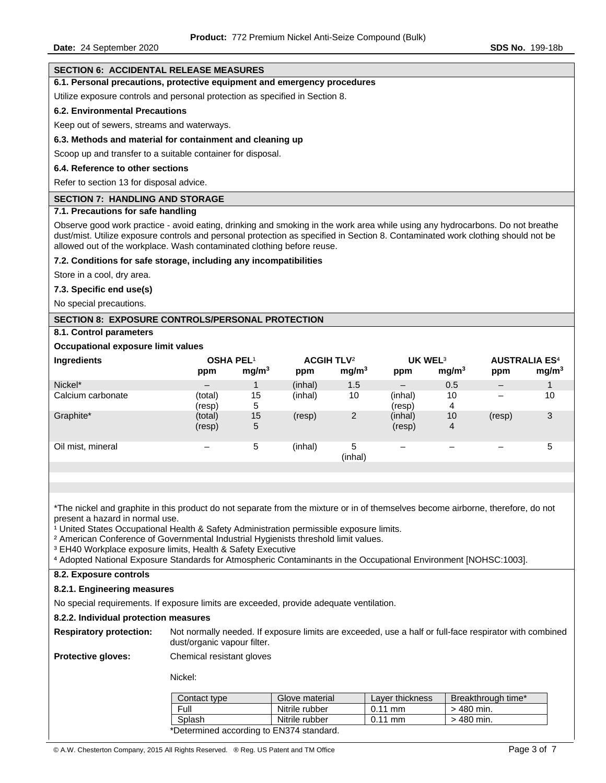### **SECTION 6: ACCIDENTAL RELEASE MEASURES**

# **6.1. Personal precautions, protective equipment and emergency procedures**

Utilize exposure controls and personal protection as specified in Section 8.

#### **6.2. Environmental Precautions**

Keep out of sewers, streams and waterways.

### **6.3. Methods and material for containment and cleaning up**

Scoop up and transfer to a suitable container for disposal.

### **6.4. Reference to other sections**

Refer to section 13 for disposal advice.

### **SECTION 7: HANDLING AND STORAGE**

### **7.1. Precautions for safe handling**

Observe good work practice - avoid eating, drinking and smoking in the work area while using any hydrocarbons. Do not breathe dust/mist. Utilize exposure controls and personal protection as specified in Section 8. Contaminated work clothing should not be allowed out of the workplace. Wash contaminated clothing before reuse.

### **7.2. Conditions for safe storage, including any incompatibilities**

Store in a cool, dry area.

**7.3. Specific end use(s)** 

No special precautions.

### **SECTION 8: EXPOSURE CONTROLS/PERSONAL PROTECTION**

# **8.1. Control parameters**

### **Occupational exposure limit values**

| Ingredients       | <b>OSHA PEL1</b><br>ppm  | mg/m <sup>3</sup> | ACGIH TLV <sup>2</sup><br>ppm | mg/m <sup>3</sup> | UK WEL <sup>3</sup><br>ppm | mg/m <sup>3</sup> | <b>AUSTRALIA ES<sup>4</sup></b><br>ppm | mg/m <sup>3</sup> |
|-------------------|--------------------------|-------------------|-------------------------------|-------------------|----------------------------|-------------------|----------------------------------------|-------------------|
| Nickel*           | $\overline{\phantom{m}}$ |                   | (inhal)                       | 1.5               | $\qquad \qquad$            | 0.5               | $\overline{\phantom{0}}$               |                   |
| Calcium carbonate | (total)<br>(resp)        | 15<br>5           | (inhal)                       | 10                | (inhal)<br>(resp)          | 10<br>4           | $\overline{\phantom{0}}$               | 10                |
| Graphite*         | (total)<br>(resp)        | 15<br>5           | (resp)                        | 2                 | (inhal)<br>(resp)          | 10<br>4           | (resp)                                 | 3                 |
| Oil mist, mineral |                          | 5                 | (inhal)                       | 5<br>(inhal)      |                            |                   |                                        | 5                 |

\*The nickel and graphite in this product do not separate from the mixture or in of themselves become airborne, therefore, do not present a hazard in normal use.

<sup>1</sup> United States Occupational Health & Safety Administration permissible exposure limits.

<sup>2</sup> American Conference of Governmental Industrial Hygienists threshold limit values.

<sup>3</sup> EH40 Workplace exposure limits, Health & Safety Executive

⁴ Adopted National Exposure Standards for Atmospheric Contaminants in the Occupational Environment [NOHSC:1003].

# **8.2. Exposure controls**

### **8.2.1. Engineering measures**

No special requirements. If exposure limits are exceeded, provide adequate ventilation.

### **8.2.2. Individual protection measures**

**Respiratory protection:** Not normally needed. If exposure limits are exceeded, use a half or full-face respirator with combined dust/organic vapour filter.

**Protective gloves:** Chemical resistant gloves

Nickel:

| Contact type                             | Glove material | Layer thickness   | Breakthrough time* |
|------------------------------------------|----------------|-------------------|--------------------|
| Full                                     | Nitrile rubber | $0.11$ mm         | $>$ 480 min.       |
| Splash                                   | Nitrile rubber | $0.11 \text{ mm}$ | $>$ 480 min.       |
| *Determined according to EN374 standard. |                |                   |                    |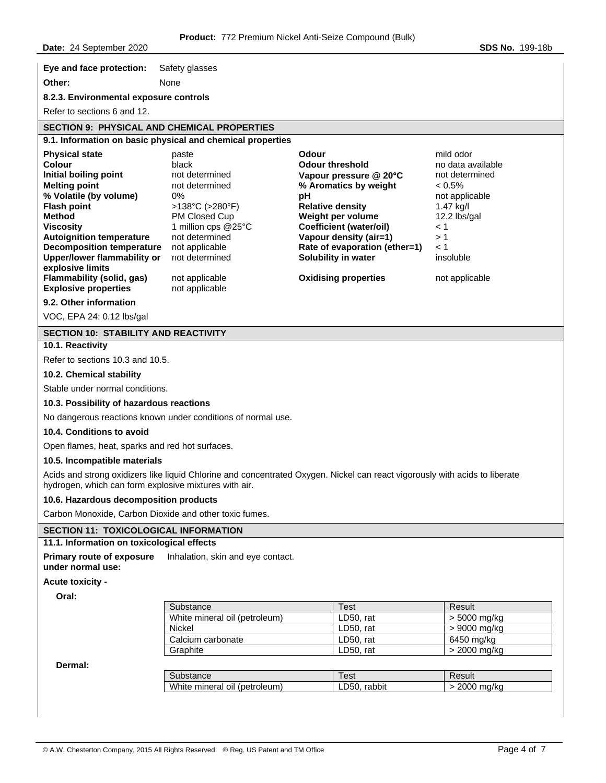**Eye and face protection:** Safety glasses

**Other:** None

**8.2.3. Environmental exposure controls** 

Refer to sections 6 and 12.

#### **SECTION 9: PHYSICAL AND CHEMICAL PROPERTIES 9.1. Information on basic physical and chemical properties**

| <b>Physical state</b>            | paste                                | Odour                         | mild odor         |
|----------------------------------|--------------------------------------|-------------------------------|-------------------|
| Colour                           | black                                | <b>Odour threshold</b>        | no data available |
| Initial boiling point            | not determined                       | Vapour pressure $@$ 20 $°C$   | not determined    |
| <b>Melting point</b>             | not determined                       | % Aromatics by weight         | $< 0.5\%$         |
| % Volatile (by volume)           | $0\%$                                | рH                            | not applicable    |
| <b>Flash point</b>               | $>138^{\circ}$ C ( $>280^{\circ}$ F) | <b>Relative density</b>       | $1.47$ kg/l       |
| Method                           | PM Closed Cup                        | Weight per volume             | 12.2 lbs/gal      |
| <b>Viscosity</b>                 | 1 million cps @25°C                  | Coefficient (water/oil)       | < 1               |
| <b>Autoignition temperature</b>  | not determined                       | Vapour density (air=1)        | >1                |
| <b>Decomposition temperature</b> | not applicable                       | Rate of evaporation (ether=1) | $<$ 1             |
| Upper/lower flammability or      | not determined                       | Solubility in water           | insoluble         |
| explosive limits                 |                                      |                               |                   |
| Flammability (solid, gas)        | not applicable                       | <b>Oxidising properties</b>   | not applicable    |
| <b>Explosive properties</b>      | not applicable                       |                               |                   |
|                                  |                                      |                               |                   |

**9.2. Other information** 

VOC, EPA 24: 0.12 lbs/gal

# **SECTION 10: STABILITY AND REACTIVITY**

# **10.1. Reactivity**

Refer to sections 10.3 and 10.5.

# **10.2. Chemical stability**

Stable under normal conditions.

# **10.3. Possibility of hazardous reactions**

No dangerous reactions known under conditions of normal use.

### **10.4. Conditions to avoid**

Open flames, heat, sparks and red hot surfaces.

# **10.5. Incompatible materials**

Acids and strong oxidizers like liquid Chlorine and concentrated Oxygen. Nickel can react vigorously with acids to liberate hydrogen, which can form explosive mixtures with air.

### **10.6. Hazardous decomposition products**

Carbon Monoxide, Carbon Dioxide and other toxic fumes.

### **SECTION 11: TOXICOLOGICAL INFORMATION**

### **11.1. Information on toxicological effects**

**Primary route of exposure under normal use:**  Inhalation, skin and eye contact.

### **Acute toxicity -**

**Oral:** 

| Substance                     | Test      | Result       |
|-------------------------------|-----------|--------------|
| White mineral oil (petroleum) | LD50. rat | > 5000 mg/kg |
| Nickel                        | LD50. rat | > 9000 mg/kg |
| Calcium carbonate             | LD50. rat | 6450 mg/kg   |
| Graphite                      | LD50. rat | > 2000 mg/kg |

**Dermal:** 

| substance         | est    | ≺esuit |
|-------------------|--------|--------|
| White mineral oil | rabbit | ma/kc  |
| (petroleum)       | LD50   | 2000   |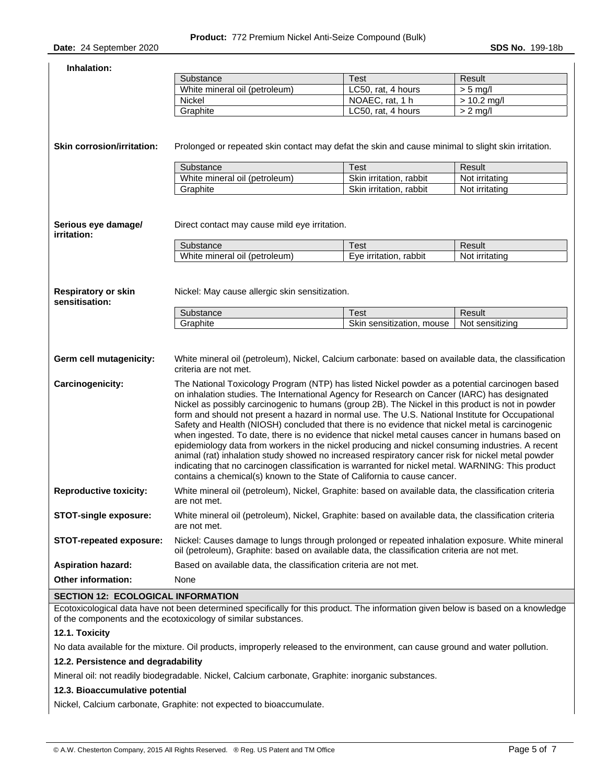| Inhalation:                                  |                                                                                                                                                                                                                                                                                                                                                                                                                                                                                                                                                                                                                                                                                                                                                                                                                                                                                                                                                                                                                                                                                                                                           |                           |                 |  |
|----------------------------------------------|-------------------------------------------------------------------------------------------------------------------------------------------------------------------------------------------------------------------------------------------------------------------------------------------------------------------------------------------------------------------------------------------------------------------------------------------------------------------------------------------------------------------------------------------------------------------------------------------------------------------------------------------------------------------------------------------------------------------------------------------------------------------------------------------------------------------------------------------------------------------------------------------------------------------------------------------------------------------------------------------------------------------------------------------------------------------------------------------------------------------------------------------|---------------------------|-----------------|--|
|                                              | Substance                                                                                                                                                                                                                                                                                                                                                                                                                                                                                                                                                                                                                                                                                                                                                                                                                                                                                                                                                                                                                                                                                                                                 | <b>Test</b>               | Result          |  |
|                                              | White mineral oil (petroleum)                                                                                                                                                                                                                                                                                                                                                                                                                                                                                                                                                                                                                                                                                                                                                                                                                                                                                                                                                                                                                                                                                                             | LC50, rat, 4 hours        | $> 5$ mg/l      |  |
|                                              | <b>Nickel</b>                                                                                                                                                                                                                                                                                                                                                                                                                                                                                                                                                                                                                                                                                                                                                                                                                                                                                                                                                                                                                                                                                                                             | NOAEC, rat, 1 h           | $> 10.2$ mg/l   |  |
|                                              | Graphite                                                                                                                                                                                                                                                                                                                                                                                                                                                                                                                                                                                                                                                                                                                                                                                                                                                                                                                                                                                                                                                                                                                                  | LC50, rat, 4 hours        | $> 2$ mg/l      |  |
| <b>Skin corrosion/irritation:</b>            | Prolonged or repeated skin contact may defat the skin and cause minimal to slight skin irritation.                                                                                                                                                                                                                                                                                                                                                                                                                                                                                                                                                                                                                                                                                                                                                                                                                                                                                                                                                                                                                                        |                           |                 |  |
|                                              | Substance                                                                                                                                                                                                                                                                                                                                                                                                                                                                                                                                                                                                                                                                                                                                                                                                                                                                                                                                                                                                                                                                                                                                 | <b>Test</b>               | Result          |  |
|                                              | White mineral oil (petroleum)                                                                                                                                                                                                                                                                                                                                                                                                                                                                                                                                                                                                                                                                                                                                                                                                                                                                                                                                                                                                                                                                                                             | Skin irritation, rabbit   | Not irritating  |  |
|                                              | Graphite                                                                                                                                                                                                                                                                                                                                                                                                                                                                                                                                                                                                                                                                                                                                                                                                                                                                                                                                                                                                                                                                                                                                  | Skin irritation, rabbit   | Not irritating  |  |
| Serious eye damage/<br>irritation:           | Direct contact may cause mild eye irritation.<br>Substance                                                                                                                                                                                                                                                                                                                                                                                                                                                                                                                                                                                                                                                                                                                                                                                                                                                                                                                                                                                                                                                                                | <b>Test</b>               | Result          |  |
|                                              | White mineral oil (petroleum)                                                                                                                                                                                                                                                                                                                                                                                                                                                                                                                                                                                                                                                                                                                                                                                                                                                                                                                                                                                                                                                                                                             | Eye irritation, rabbit    | Not irritating  |  |
| <b>Respiratory or skin</b><br>sensitisation: | Nickel: May cause allergic skin sensitization.<br>Substance                                                                                                                                                                                                                                                                                                                                                                                                                                                                                                                                                                                                                                                                                                                                                                                                                                                                                                                                                                                                                                                                               | <b>Test</b>               | Result          |  |
|                                              | Graphite                                                                                                                                                                                                                                                                                                                                                                                                                                                                                                                                                                                                                                                                                                                                                                                                                                                                                                                                                                                                                                                                                                                                  | Skin sensitization, mouse | Not sensitizing |  |
| Germ cell mutagenicity:<br>Carcinogenicity:  | White mineral oil (petroleum), Nickel, Calcium carbonate: based on available data, the classification<br>criteria are not met.<br>The National Toxicology Program (NTP) has listed Nickel powder as a potential carcinogen based<br>on inhalation studies. The International Agency for Research on Cancer (IARC) has designated<br>Nickel as possibly carcinogenic to humans (group 2B). The Nickel in this product is not in powder<br>form and should not present a hazard in normal use. The U.S. National Institute for Occupational<br>Safety and Health (NIOSH) concluded that there is no evidence that nickel metal is carcinogenic<br>when ingested. To date, there is no evidence that nickel metal causes cancer in humans based on<br>epidemiology data from workers in the nickel producing and nickel consuming industries. A recent<br>animal (rat) inhalation study showed no increased respiratory cancer risk for nickel metal powder<br>indicating that no carcinogen classification is warranted for nickel metal. WARNING: This product<br>contains a chemical(s) known to the State of California to cause cancer. |                           |                 |  |
| <b>Reproductive toxicity:</b>                | White mineral oil (petroleum), Nickel, Graphite: based on available data, the classification criteria<br>are not met.                                                                                                                                                                                                                                                                                                                                                                                                                                                                                                                                                                                                                                                                                                                                                                                                                                                                                                                                                                                                                     |                           |                 |  |
| <b>STOT-single exposure:</b>                 | White mineral oil (petroleum), Nickel, Graphite: based on available data, the classification criteria<br>are not met.                                                                                                                                                                                                                                                                                                                                                                                                                                                                                                                                                                                                                                                                                                                                                                                                                                                                                                                                                                                                                     |                           |                 |  |
| STOT-repeated exposure:                      | Nickel: Causes damage to lungs through prolonged or repeated inhalation exposure. White mineral<br>oil (petroleum), Graphite: based on available data, the classification criteria are not met.                                                                                                                                                                                                                                                                                                                                                                                                                                                                                                                                                                                                                                                                                                                                                                                                                                                                                                                                           |                           |                 |  |
| <b>Aspiration hazard:</b>                    | Based on available data, the classification criteria are not met.                                                                                                                                                                                                                                                                                                                                                                                                                                                                                                                                                                                                                                                                                                                                                                                                                                                                                                                                                                                                                                                                         |                           |                 |  |
| Other information:                           | None                                                                                                                                                                                                                                                                                                                                                                                                                                                                                                                                                                                                                                                                                                                                                                                                                                                                                                                                                                                                                                                                                                                                      |                           |                 |  |
| SECTION 12: ECOLOGICAL INFORMATION           |                                                                                                                                                                                                                                                                                                                                                                                                                                                                                                                                                                                                                                                                                                                                                                                                                                                                                                                                                                                                                                                                                                                                           |                           |                 |  |

# **SECTION 12: ECOLOGICAL INFORMATION**

Ecotoxicological data have not been determined specifically for this product. The information given below is based on a knowledge of the components and the ecotoxicology of similar substances.

### **12.1. Toxicity**

No data available for the mixture. Oil products, improperly released to the environment, can cause ground and water pollution.

### **12.2. Persistence and degradability**

Mineral oil: not readily biodegradable. Nickel, Calcium carbonate, Graphite: inorganic substances.

# **12.3. Bioaccumulative potential**

Nickel, Calcium carbonate, Graphite: not expected to bioaccumulate.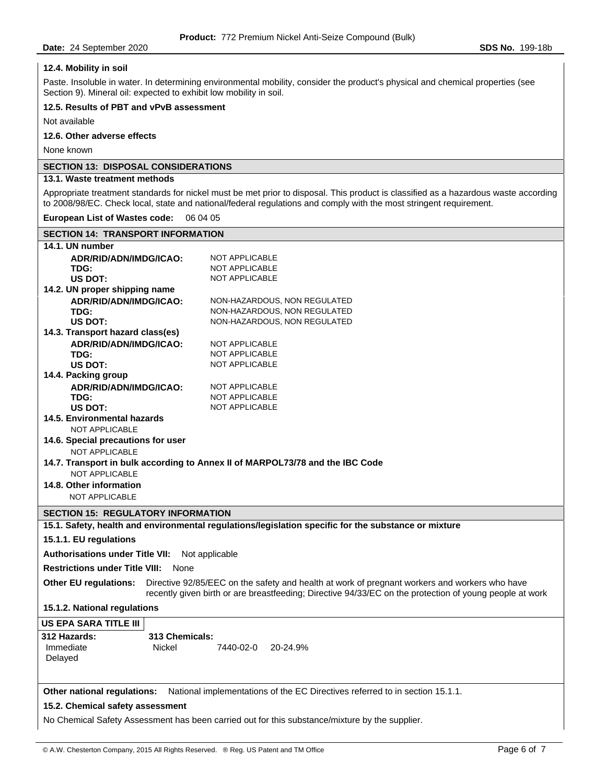**12.4. Mobility in soil** 

# Paste. Insoluble in water. In determining environmental mobility, consider the product's physical and chemical properties (see Section 9). Mineral oil: expected to exhibit low mobility in soil. **12.5. Results of PBT and vPvB assessment**  Not available **12.6. Other adverse effects**  None known **SECTION 13: DISPOSAL CONSIDERATIONS 13.1. Waste treatment methods**  Appropriate treatment standards for nickel must be met prior to disposal. This product is classified as a hazardous waste according to 2008/98/EC. Check local, state and national/federal regulations and comply with the most stringent requirement. **European List of Wastes code:** 06 04 05 **SECTION 14: TRANSPORT INFORMATION 14.1. UN number ADR/RID/ADN/IMDG/ICAO:** NOT APPLICABLE TDG: NOT APPLICABLE **US DOT:** NOT APPLICABLE **14.2. UN proper shipping name ADR/RID/ADN/IMDG/ICAO:** NON-HAZARDOUS, NON REGULATED **TDG:** NON-HAZARDOUS, NON REGULATED **US DOT:** NON-HAZARDOUS, NON REGULATED **14.3. Transport hazard class(es) ADR/RID/ADN/IMDG/ICAO:** NOT APPLICABLE **TDG:** NOT APPLICABLE US DOT: NOT APPLICABLE **14.4. Packing group ADR/RID/ADN/IMDG/ICAO:** NOT APPLICABLE **TDG:** NOT APPLICABLE US DOT: NOT APPLICABLE **14.5. Environmental hazards**  NOT APPLICABLE **14.6. Special precautions for user**  NOT APPLICABLE **14.7. Transport in bulk according to Annex II of MARPOL73/78 and the IBC Code**  NOT APPLICABLE **14.8. Other information**  NOT APPLICABLE **SECTION 15: REGULATORY INFORMATION 15.1. Safety, health and environmental regulations/legislation specific for the substance or mixture 15.1.1. EU regulations Authorisations under Title VII:** Not applicable **Restrictions under Title VIII:** None **Other EU regulations:** Directive 92/85/EEC on the safety and health at work of pregnant workers and workers who have recently given birth or are breastfeeding; Directive 94/33/EC on the protection of young people at work **15.1.2. National regulations US EPA SARA TITLE III 312 Hazards: 313 Chemicals:**  Immediate Nickel 7440-02-0 20-24.9% Delayed **Other national regulations:** National implementations of the EC Directives referred to in section 15.1.1. **15.2. Chemical safety assessment**  No Chemical Safety Assessment has been carried out for this substance/mixture by the supplier.